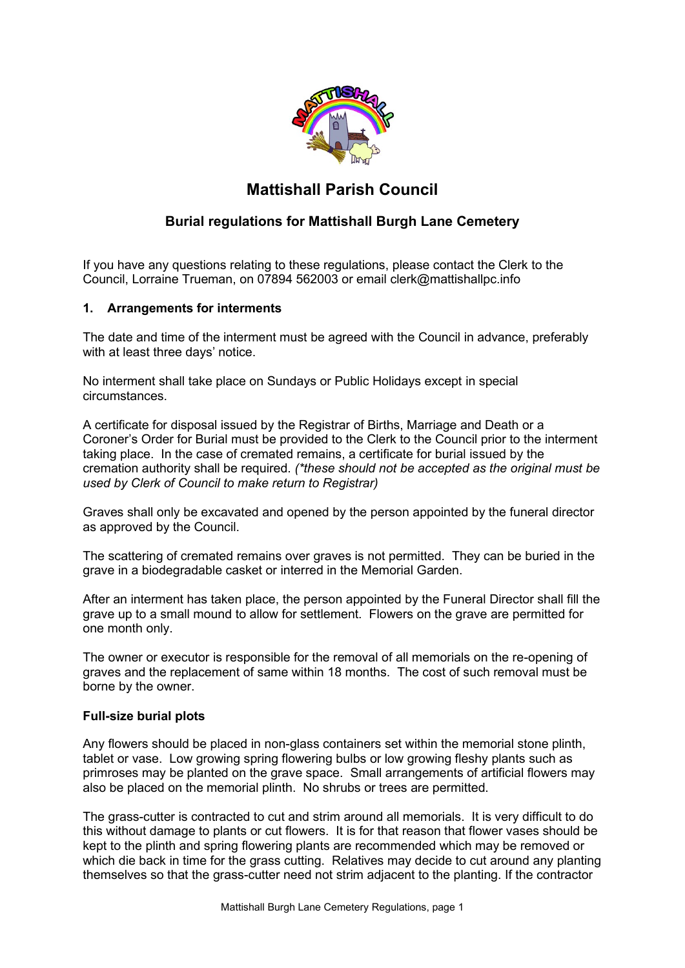

# **Mattishall Parish Council**

# **Burial regulations for Mattishall Burgh Lane Cemetery**

If you have any questions relating to these regulations, please contact the Clerk to the Council, Lorraine Trueman, on 07894 562003 or email clerk@mattishallpc.info

#### **1. Arrangements for interments**

The date and time of the interment must be agreed with the Council in advance, preferably with at least three days' notice.

No interment shall take place on Sundays or Public Holidays except in special circumstances.

A certificate for disposal issued by the Registrar of Births, Marriage and Death or a Coroner's Order for Burial must be provided to the Clerk to the Council prior to the interment taking place. In the case of cremated remains, a certificate for burial issued by the cremation authority shall be required. *(\*these should not be accepted as the original must be used by Clerk of Council to make return to Registrar)*

Graves shall only be excavated and opened by the person appointed by the funeral director as approved by the Council.

The scattering of cremated remains over graves is not permitted. They can be buried in the grave in a biodegradable casket or interred in the Memorial Garden.

After an interment has taken place, the person appointed by the Funeral Director shall fill the grave up to a small mound to allow for settlement. Flowers on the grave are permitted for one month only.

The owner or executor is responsible for the removal of all memorials on the re-opening of graves and the replacement of same within 18 months. The cost of such removal must be borne by the owner.

## **Full-size burial plots**

Any flowers should be placed in non-glass containers set within the memorial stone plinth, tablet or vase. Low growing spring flowering bulbs or low growing fleshy plants such as primroses may be planted on the grave space. Small arrangements of artificial flowers may also be placed on the memorial plinth. No shrubs or trees are permitted.

The grass-cutter is contracted to cut and strim around all memorials. It is very difficult to do this without damage to plants or cut flowers. It is for that reason that flower vases should be kept to the plinth and spring flowering plants are recommended which may be removed or which die back in time for the grass cutting. Relatives may decide to cut around any planting themselves so that the grass-cutter need not strim adjacent to the planting. If the contractor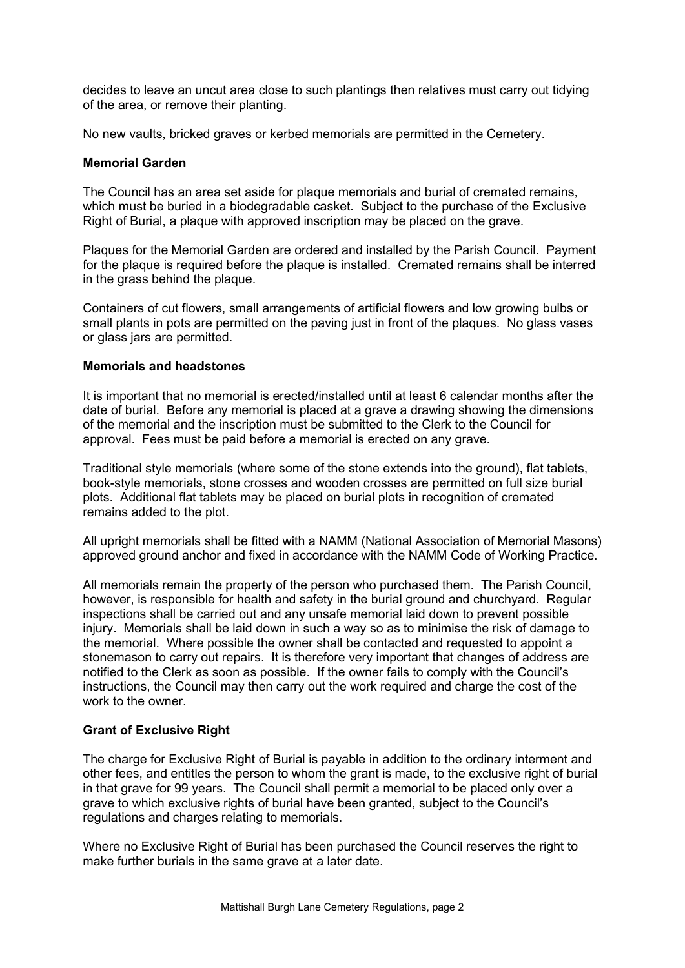decides to leave an uncut area close to such plantings then relatives must carry out tidying of the area, or remove their planting.

No new vaults, bricked graves or kerbed memorials are permitted in the Cemetery.

#### **Memorial Garden**

The Council has an area set aside for plaque memorials and burial of cremated remains, which must be buried in a biodegradable casket. Subject to the purchase of the Exclusive Right of Burial, a plaque with approved inscription may be placed on the grave.

Plaques for the Memorial Garden are ordered and installed by the Parish Council. Payment for the plaque is required before the plaque is installed. Cremated remains shall be interred in the grass behind the plaque.

Containers of cut flowers, small arrangements of artificial flowers and low growing bulbs or small plants in pots are permitted on the paving just in front of the plaques. No glass vases or glass jars are permitted.

#### **Memorials and headstones**

It is important that no memorial is erected/installed until at least 6 calendar months after the date of burial. Before any memorial is placed at a grave a drawing showing the dimensions of the memorial and the inscription must be submitted to the Clerk to the Council for approval. Fees must be paid before a memorial is erected on any grave.

Traditional style memorials (where some of the stone extends into the ground), flat tablets, book-style memorials, stone crosses and wooden crosses are permitted on full size burial plots. Additional flat tablets may be placed on burial plots in recognition of cremated remains added to the plot.

All upright memorials shall be fitted with a NAMM (National Association of Memorial Masons) approved ground anchor and fixed in accordance with the NAMM Code of Working Practice.

All memorials remain the property of the person who purchased them. The Parish Council, however, is responsible for health and safety in the burial ground and churchyard. Regular inspections shall be carried out and any unsafe memorial laid down to prevent possible injury. Memorials shall be laid down in such a way so as to minimise the risk of damage to the memorial. Where possible the owner shall be contacted and requested to appoint a stonemason to carry out repairs. It is therefore very important that changes of address are notified to the Clerk as soon as possible. If the owner fails to comply with the Council's instructions, the Council may then carry out the work required and charge the cost of the work to the owner

## **Grant of Exclusive Right**

The charge for Exclusive Right of Burial is payable in addition to the ordinary interment and other fees, and entitles the person to whom the grant is made, to the exclusive right of burial in that grave for 99 years. The Council shall permit a memorial to be placed only over a grave to which exclusive rights of burial have been granted, subject to the Council's regulations and charges relating to memorials.

Where no Exclusive Right of Burial has been purchased the Council reserves the right to make further burials in the same grave at a later date.